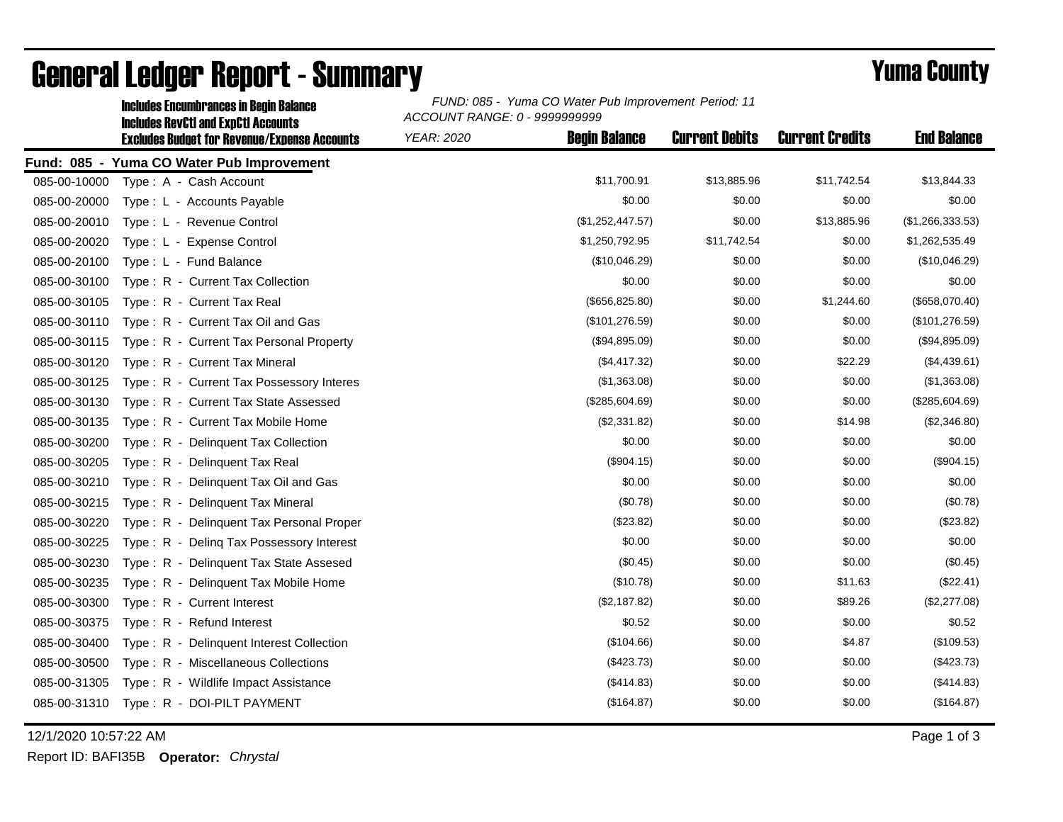|              | <b>Includes Encumbrances in Begin Balance</b>                                                     | FUND: 085 - Yuma CO Water Pub Improvement Period: 11<br>ACCOUNT RANGE: 0 - 9999999999 |                      |                       |                        |                    |  |
|--------------|---------------------------------------------------------------------------------------------------|---------------------------------------------------------------------------------------|----------------------|-----------------------|------------------------|--------------------|--|
|              | <b>Includes RevCtI and ExpCtI Accounts</b><br><b>Excludes Budget for Revenue/Expense Accounts</b> | YEAR: 2020                                                                            | <b>Begin Balance</b> | <b>Current Debits</b> | <b>Current Credits</b> | <b>End Balance</b> |  |
|              | Fund: 085 - Yuma CO Water Pub Improvement                                                         |                                                                                       |                      |                       |                        |                    |  |
| 085-00-10000 | Type: A - Cash Account                                                                            |                                                                                       | \$11,700.91          | \$13,885.96           | \$11,742.54            | \$13,844.33        |  |
| 085-00-20000 | Type: L - Accounts Payable                                                                        |                                                                                       | \$0.00               | \$0.00                | \$0.00                 | \$0.00             |  |
| 085-00-20010 | Type: L - Revenue Control                                                                         |                                                                                       | (\$1,252,447.57)     | \$0.00                | \$13,885.96            | (\$1,266,333.53)   |  |
| 085-00-20020 | Type: L - Expense Control                                                                         |                                                                                       | \$1,250,792.95       | \$11,742.54           | \$0.00                 | \$1,262,535.49     |  |
| 085-00-20100 | Type: L - Fund Balance                                                                            |                                                                                       | (\$10,046.29)        | \$0.00                | \$0.00                 | (\$10,046.29)      |  |
| 085-00-30100 | Type: R - Current Tax Collection                                                                  |                                                                                       | \$0.00               | \$0.00                | \$0.00                 | \$0.00             |  |
| 085-00-30105 | Type: R - Current Tax Real                                                                        |                                                                                       | (\$656, 825.80)      | \$0.00                | \$1,244.60             | (\$658,070.40)     |  |
| 085-00-30110 | Type: R - Current Tax Oil and Gas                                                                 |                                                                                       | (\$101, 276.59)      | \$0.00                | \$0.00                 | (\$101, 276.59)    |  |
| 085-00-30115 | Type: R - Current Tax Personal Property                                                           |                                                                                       | (\$94,895.09)        | \$0.00                | \$0.00                 | (\$94,895.09)      |  |
| 085-00-30120 | Type: R - Current Tax Mineral                                                                     |                                                                                       | (\$4,417.32)         | \$0.00                | \$22.29                | (\$4,439.61)       |  |
| 085-00-30125 | Type: R - Current Tax Possessory Interes                                                          |                                                                                       | (\$1,363.08)         | \$0.00                | \$0.00                 | (\$1,363.08)       |  |
| 085-00-30130 | Type: R - Current Tax State Assessed                                                              |                                                                                       | (\$285,604.69)       | \$0.00                | \$0.00                 | (\$285,604.69)     |  |
| 085-00-30135 | Type: R - Current Tax Mobile Home                                                                 |                                                                                       | (\$2,331.82)         | \$0.00                | \$14.98                | (\$2,346.80)       |  |
| 085-00-30200 | Type: R - Delinquent Tax Collection                                                               |                                                                                       | \$0.00               | \$0.00                | \$0.00                 | \$0.00             |  |
| 085-00-30205 | Type: R - Delinquent Tax Real                                                                     |                                                                                       | (\$904.15)           | \$0.00                | \$0.00                 | (\$904.15)         |  |
| 085-00-30210 | Type: R - Delinquent Tax Oil and Gas                                                              |                                                                                       | \$0.00               | \$0.00                | \$0.00                 | \$0.00             |  |
| 085-00-30215 | Type: R - Delinquent Tax Mineral                                                                  |                                                                                       | (\$0.78)             | \$0.00                | \$0.00                 | (\$0.78)           |  |
| 085-00-30220 | Type: R - Delinquent Tax Personal Proper                                                          |                                                                                       | (\$23.82)            | \$0.00                | \$0.00                 | (\$23.82)          |  |
| 085-00-30225 | Type: R - Deling Tax Possessory Interest                                                          |                                                                                       | \$0.00               | \$0.00                | \$0.00                 | \$0.00             |  |
| 085-00-30230 | Type: R - Delinquent Tax State Assesed                                                            |                                                                                       | (\$0.45)             | \$0.00                | \$0.00                 | (\$0.45)           |  |
| 085-00-30235 | Type: R - Delinquent Tax Mobile Home                                                              |                                                                                       | (\$10.78)            | \$0.00                | \$11.63                | (\$22.41)          |  |
| 085-00-30300 | Type: R - Current Interest                                                                        |                                                                                       | (\$2,187.82)         | \$0.00                | \$89.26                | (\$2,277.08)       |  |
| 085-00-30375 | Type: R - Refund Interest                                                                         |                                                                                       | \$0.52               | \$0.00                | \$0.00                 | \$0.52             |  |
| 085-00-30400 | Type: R - Delinquent Interest Collection                                                          |                                                                                       | (\$104.66)           | \$0.00                | \$4.87                 | (\$109.53)         |  |
| 085-00-30500 | Type: R - Miscellaneous Collections                                                               |                                                                                       | (\$423.73)           | \$0.00                | \$0.00                 | (\$423.73)         |  |
| 085-00-31305 | Type: R - Wildlife Impact Assistance                                                              |                                                                                       | (\$414.83)           | \$0.00                | \$0.00                 | (\$414.83)         |  |
| 085-00-31310 | Type: R - DOI-PILT PAYMENT                                                                        |                                                                                       | (\$164.87)           | \$0.00                | \$0.00                 | (\$164.87)         |  |
|              |                                                                                                   |                                                                                       |                      |                       |                        |                    |  |

## General Ledger Report - Summary **Example 2018** Yuma County

12/1/2020 10:57:22 AM Page 1 of 3

Report ID: BAFI35B **Operator:** *Chrystal*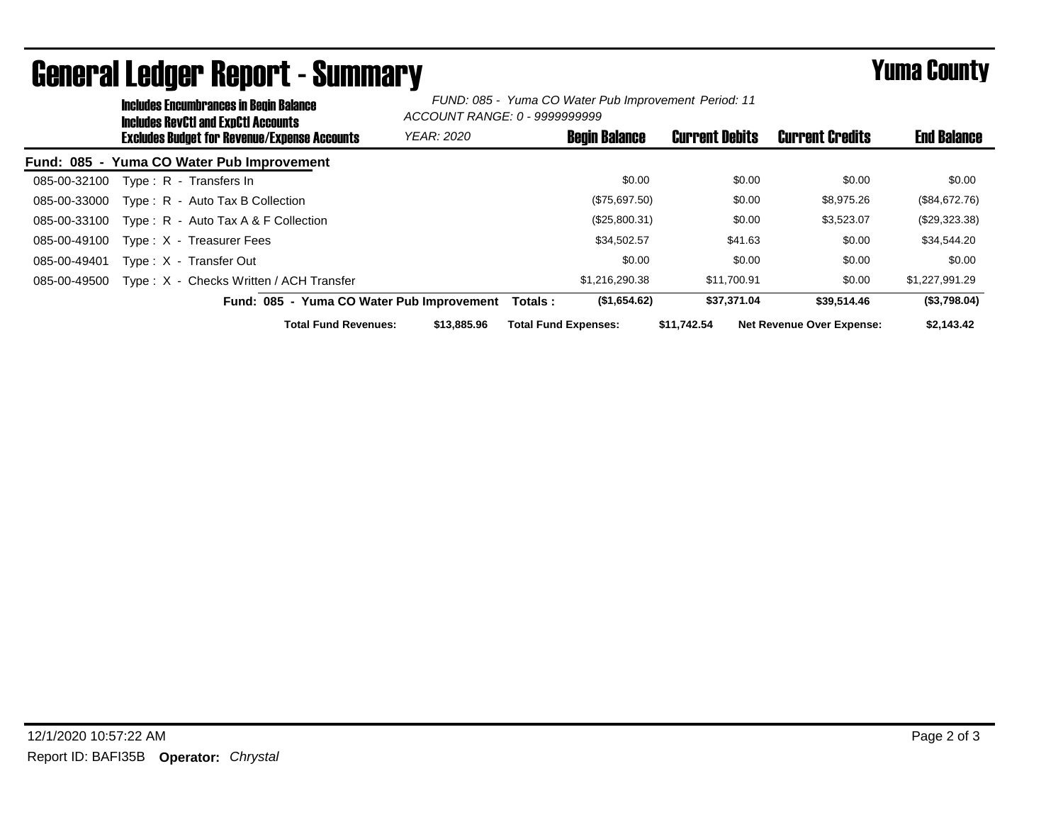| <b>Includes Encumbrances in Begin Balance</b><br>Includes RevCtI and ExpCtI Accounts |                   | FUND: 085 - Yuma CO Water Pub Improvement Period: 11<br>ACCOUNT RANGE: 0 - 9999999999 |                       |                                  |                    |
|--------------------------------------------------------------------------------------|-------------------|---------------------------------------------------------------------------------------|-----------------------|----------------------------------|--------------------|
| <b>Excludes Budget for Revenue/Expense Accounts</b>                                  | <b>YEAR: 2020</b> | <b>Begin Balance</b>                                                                  | <b>Current Debits</b> | <b>Current Credits</b>           | <b>End Balance</b> |
| Fund: 085 - Yuma CO Water Pub Improvement                                            |                   |                                                                                       |                       |                                  |                    |
| 085-00-32100<br>Type: R - Transfers In                                               |                   | \$0.00                                                                                | \$0.00                | \$0.00                           | \$0.00             |
| Type: R - Auto Tax B Collection<br>085-00-33000                                      |                   | (\$75,697.50)                                                                         | \$0.00                | \$8,975.26                       | (\$84,672.76)      |
| 085-00-33100<br>Type : $R -$ Auto Tax A & F Collection                               |                   | (\$25,800.31)                                                                         | \$0.00                | \$3,523.07                       | $(\$29,323.38)$    |
| 085-00-49100<br>Type: X - Treasurer Fees                                             |                   | \$34,502.57                                                                           | \$41.63               | \$0.00                           | \$34,544.20        |
| 085-00-49401<br>Type: X - Transfer Out                                               |                   | \$0.00                                                                                | \$0.00                | \$0.00                           | \$0.00             |
| Type: X - Checks Written / ACH Transfer<br>085-00-49500                              |                   | \$1,216,290,38                                                                        | \$11.700.91           | \$0.00                           | \$1,227,991.29     |
| Fund: 085 - Yuma CO Water Pub Improvement                                            |                   | (\$1,654.62)<br>Totals :                                                              | \$37,371.04           | \$39,514.46                      | (\$3,798.04)       |
| <b>Total Fund Revenues:</b>                                                          | \$13,885,96       | <b>Total Fund Expenses:</b>                                                           | \$11.742.54           | <b>Net Revenue Over Expense:</b> | \$2,143,42         |

## General Ledger Report - Summary **Example 2018** Yuma County